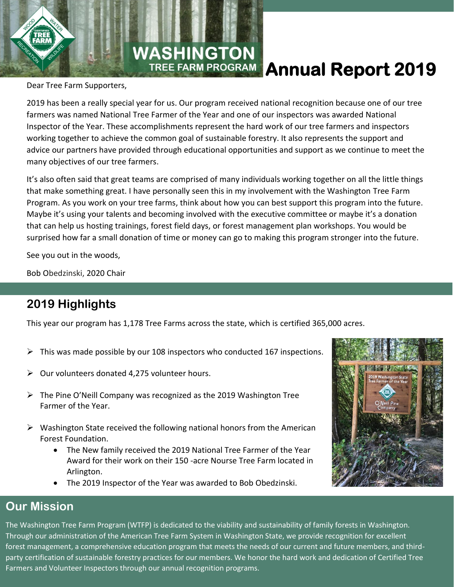

# **TREE FARM PROGRAM Annual Report 2019**

Dear Tree Farm Supporters,

2019 has been a really special year for us. Our program received national recognition because one of our tree farmers was named National Tree Farmer of the Year and one of our inspectors was awarded National Inspector of the Year. These accomplishments represent the hard work of our tree farmers and inspectors working together to achieve the common goal of sustainable forestry. It also represents the support and advice our partners have provided through educational opportunities and support as we continue to meet the many objectives of our tree farmers.

It's also often said that great teams are comprised of many individuals working together on all the little things that make something great. I have personally seen this in my involvement with the Washington Tree Farm Program. As you work on your tree farms, think about how you can best support this program into the future. Maybe it's using your talents and becoming involved with the executive committee or maybe it's a donation that can help us hosting trainings, forest field days, or forest management plan workshops. You would be surprised how far a small donation of time or money can go to making this program stronger into the future.

See you out in the woods,

Bob Obedzinski, 2020 Chair

# **2019 Highlights**

This year our program has 1,178 Tree Farms across the state, which is certified 365,000 acres.

- $\triangleright$  This was made possible by our 108 inspectors who conducted 167 inspections.
- $\triangleright$  Our volunteers donated 4,275 volunteer hours.
- ➢ The Pine O'Neill Company was recognized as the 2019 Washington Tree Farmer of the Year.
- ➢ Washington State received the following national honors from the American Forest Foundation.
	- The New family received the 2019 National Tree Farmer of the Year Award for their work on their 150 -acre Nourse Tree Farm located in Arlington.
	- The 2019 Inspector of the Year was awarded to Bob Obedzinski.



### **Our Mission**

The Washington Tree Farm Program (WTFP) is dedicated to the viability and sustainability of family forests in Washington. Through our administration of the American Tree Farm System in Washington State, we provide recognition for excellent forest management, a comprehensive education program that meets the needs of our current and future members, and thirdparty certification of sustainable forestry practices for our members. We honor the hard work and dedication of Certified Tree Farmers and Volunteer Inspectors through our annual recognition programs.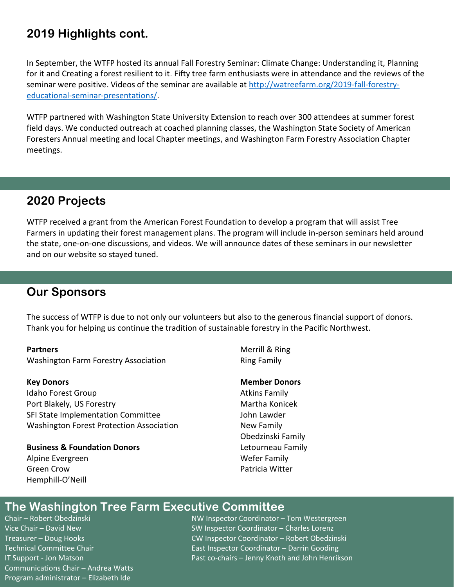## **2019 Highlights cont.**

In September, the WTFP hosted its annual Fall Forestry Seminar: Climate Change: Understanding it, Planning for it and Creating a forest resilient to it. Fifty tree farm enthusiasts were in attendance and the reviews of the seminar were positive. Videos of the seminar are available at [http://watreefarm.org/2019-fall-forestry](http://watreefarm.org/2019-fall-forestry-educational-seminar-presentations/)[educational-seminar-presentations/.](http://watreefarm.org/2019-fall-forestry-educational-seminar-presentations/)

WTFP partnered with Washington State University Extension to reach over 300 attendees at summer forest field days. We conducted outreach at coached planning classes, the Washington State Society of American Foresters Annual meeting and local Chapter meetings, and Washington Farm Forestry Association Chapter meetings.

## **2020 Projects**

WTFP received a grant from the American Forest Foundation to develop a program that will assist Tree Farmers in updating their forest management plans. The program will include in-person seminars held around the state, one-on-one discussions, and videos. We will announce dates of these seminars in our newsletter and on our website so stayed tuned.

### **Our Sponsors**

The success of WTFP is due to not only our volunteers but also to the generous financial support of donors. Thank you for helping us continue the tradition of sustainable forestry in the Pacific Northwest.

#### **Partners**

Washington Farm Forestry Association

#### **Key Donors**

Idaho Forest Group Port Blakely, US Forestry SFI State Implementation Committee Washington Forest Protection Association

#### **Business & Foundation Donors** Alpine Evergreen Green Crow Hemphill-O'Neill

Merrill & Ring Ring Family

#### **Member Donors**

Atkins Family Martha Konicek John Lawder New Family Obedzinski Family Letourneau Family Wefer Family Patricia Witter

### **The Washington Tree Farm Executive Committee**

Communications Chair – Andrea Watts Program administrator – Elizabeth Ide

Chair – Robert Obedzinski NW Inspector Coordinator – Tom Westergreen Vice Chair – David New SW Inspector Coordinator – Charles Lorenz Treasurer – Doug Hooks CW Inspector Coordinator – Robert Obedzinski Technical Committee Chair East Inspector Coordinator – Darrin Gooding IT Support - Jon Matson Past co-chairs – Jenny Knoth and John Henrikson